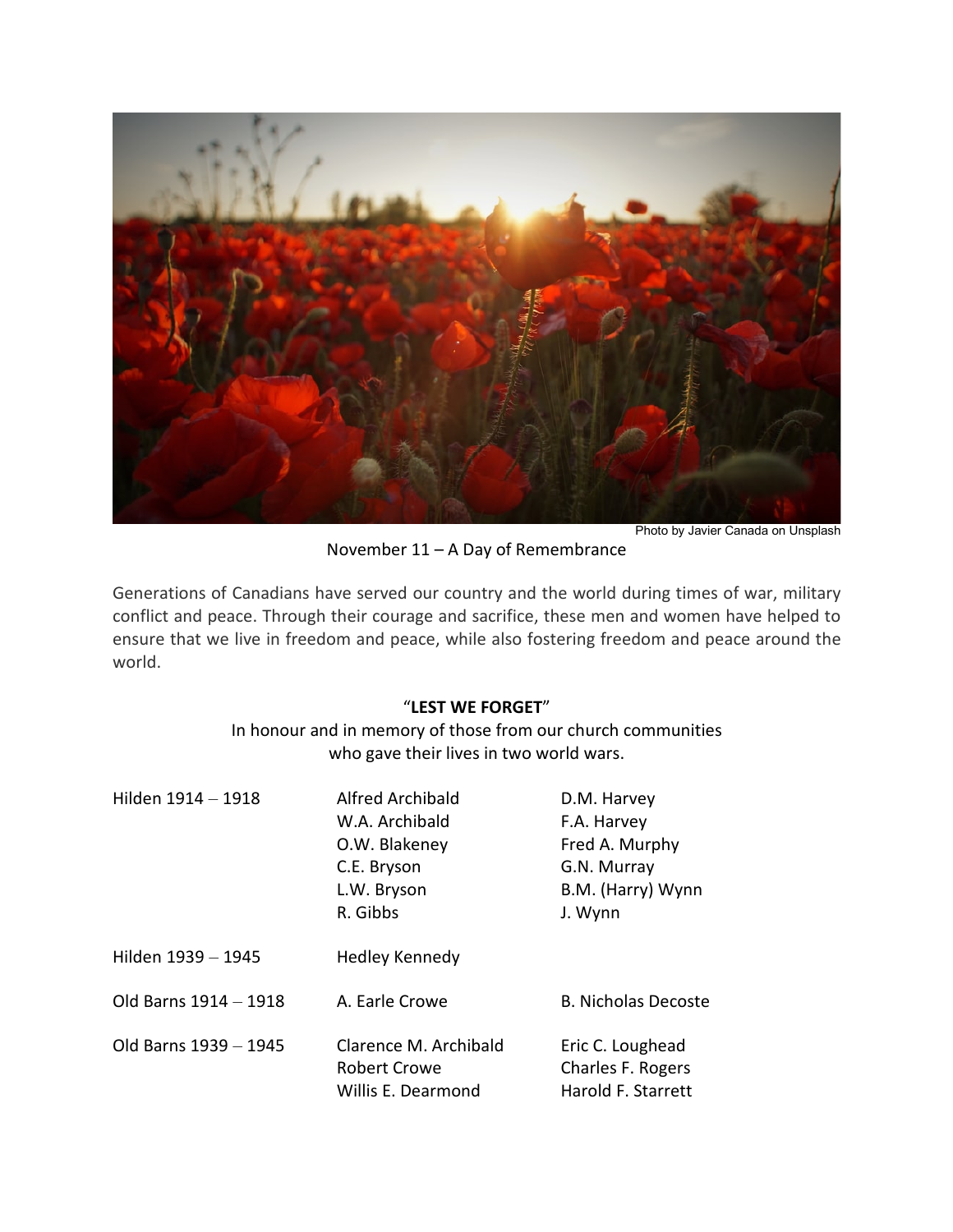

Photo by Javier Canada on Unsplash

November 11 – A Day of Remembrance

Generations of Canadians have served our country and the world during times of war, military conflict and peace. Through their courage and sacrifice, these men and women have helped to ensure that we live in freedom and peace, while also fostering freedom and peace around the world.

## "**LEST WE FORGET**"

## In honour and in memory of those from our church communities who gave their lives in two world wars.

| Hilden 1914 - 1918    | <b>Alfred Archibald</b>                                            | D.M. Harvey                                                 |
|-----------------------|--------------------------------------------------------------------|-------------------------------------------------------------|
|                       | W.A. Archibald                                                     | F.A. Harvey                                                 |
|                       | O.W. Blakeney                                                      | Fred A. Murphy                                              |
|                       | C.E. Bryson                                                        | G.N. Murray                                                 |
|                       | L.W. Bryson                                                        | B.M. (Harry) Wynn                                           |
|                       | R. Gibbs                                                           | J. Wynn                                                     |
| Hilden 1939 - 1945    | <b>Hedley Kennedy</b>                                              |                                                             |
| Old Barns 1914 - 1918 | A. Earle Crowe                                                     | <b>B. Nicholas Decoste</b>                                  |
| Old Barns 1939 - 1945 | Clarence M. Archibald<br><b>Robert Crowe</b><br>Willis E. Dearmond | Eric C. Loughead<br>Charles F. Rogers<br>Harold F. Starrett |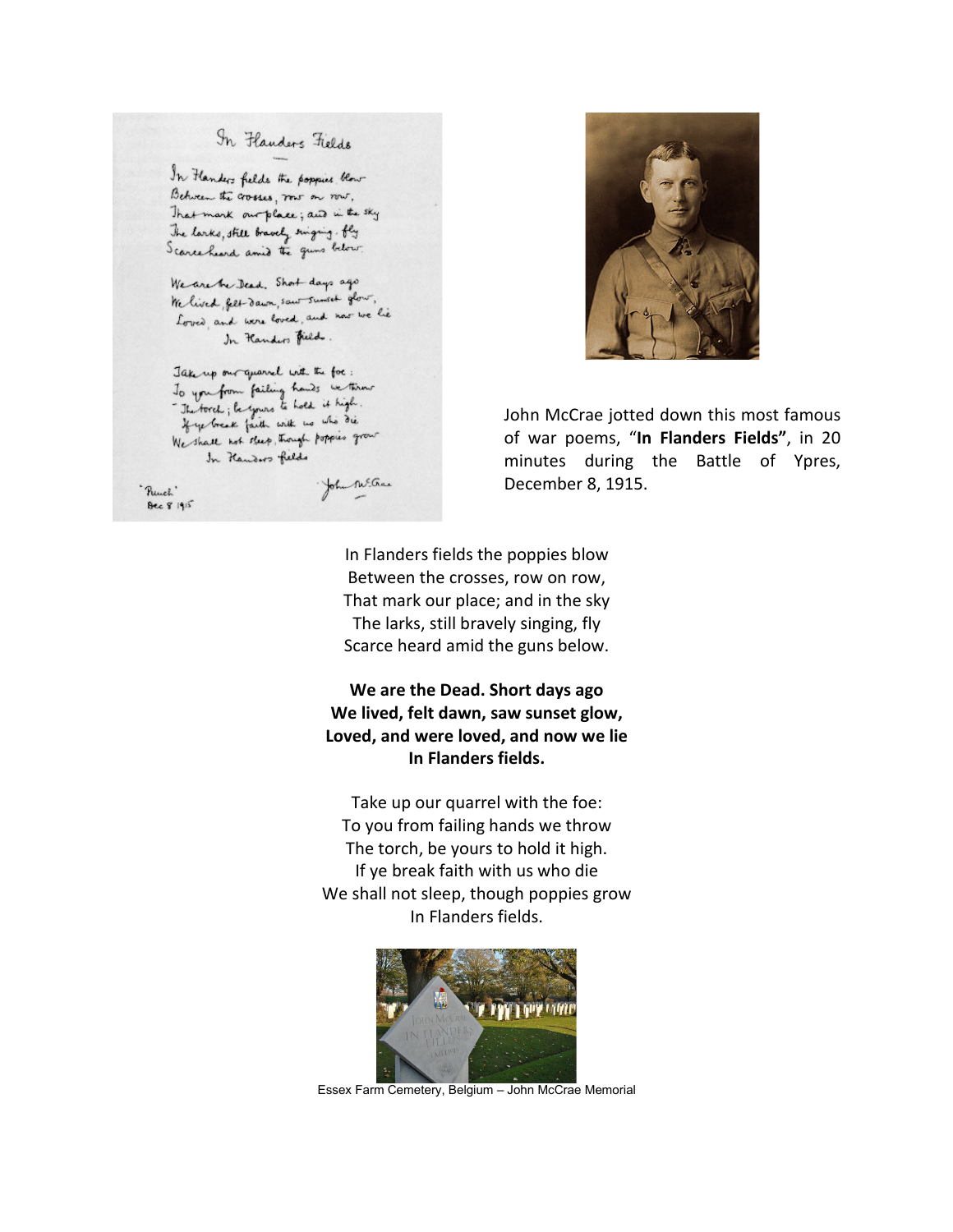## In Flanders Fields

In Flanders fields the poppies blow Between the crosses, row on now, That mank our place; and in the sky The larks, still bravely singing . fly Scarce heard amid the guns below

We are the Dead. Short days ago We lived feet dawn, saw sumset glow, terried per samm, and and now we lie In Handers Fields.

Jake up our quarrel with the foc: To you from failing hands we think If ye break faith with no who die We shall not sleep, though poppies grow In Kenders fields

"Punch" **Dec 8 1915** 

John M. Grace



John McCrae jotted down this most famous of war poems, "**In Flanders Fields"**, in 20 minutes during the Battle of Ypres, December 8, 1915.

In Flanders fields the poppies blow Between the crosses, row on row, That mark our place; and in the sky The larks, still bravely singing, fly Scarce heard amid the guns below.

**We are the Dead. Short days ago We lived, felt dawn, saw sunset glow, Loved, and were loved, and now we lie In Flanders fields.**

Take up our quarrel with the foe: To you from failing hands we throw The torch, be yours to hold it high. If ye break faith with us who die We shall not sleep, though poppies grow In Flanders fields.



Essex Farm Cemetery, Belgium – John McCrae Memorial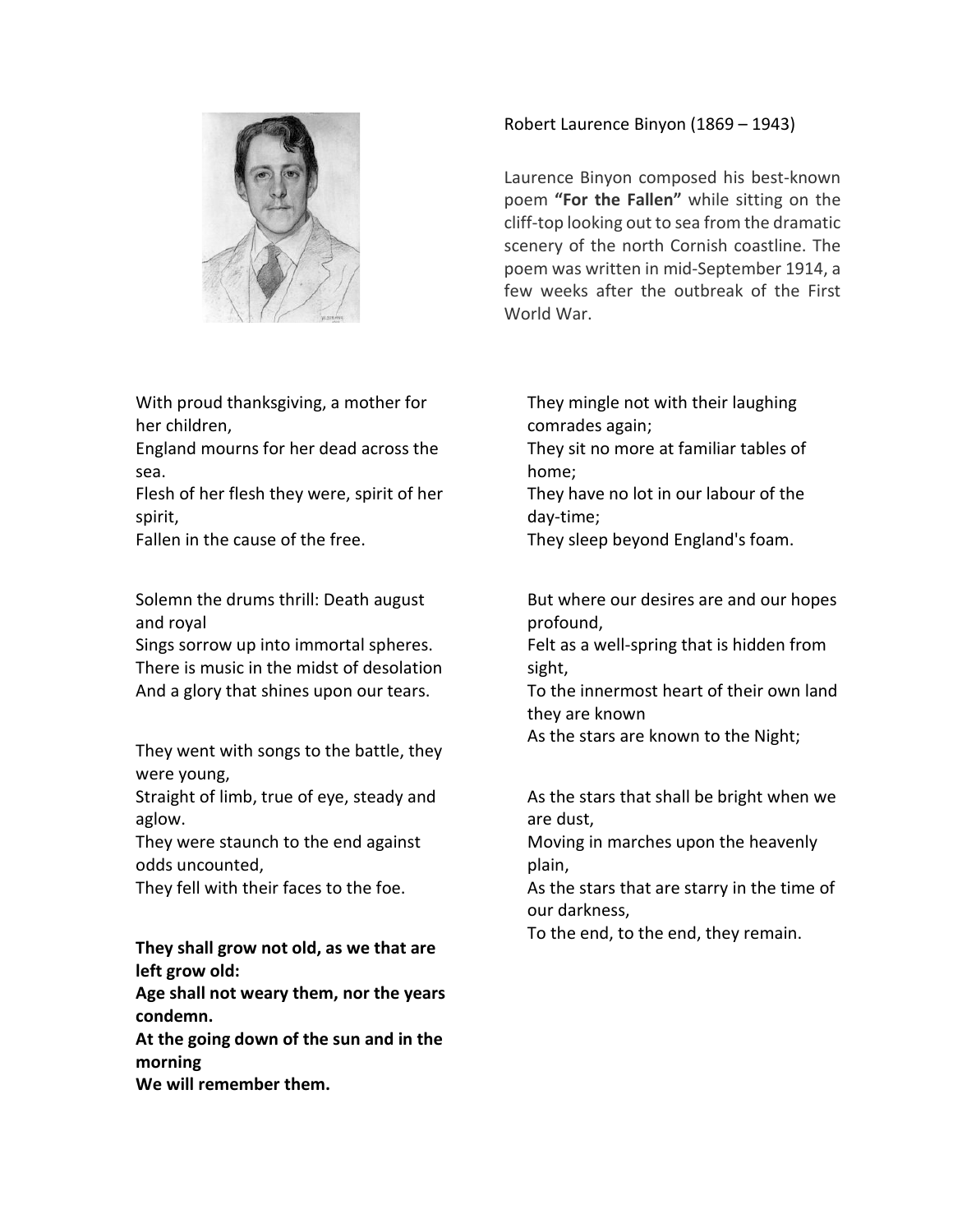

With proud thanksgiving, a mother for her children,

England mourns for her dead across the sea.

Flesh of her flesh they were, spirit of her spirit,

Fallen in the cause of the free.

Solemn the drums thrill: Death august and royal

Sings sorrow up into immortal spheres. There is music in the midst of desolation And a glory that shines upon our tears.

They went with songs to the battle, they were young,

Straight of limb, true of eye, steady and aglow.

They were staunch to the end against odds uncounted,

They fell with their faces to the foe.

**They shall grow not old, as we that are left grow old:**

**Age shall not weary them, nor the years condemn.**

**At the going down of the sun and in the morning**

**We will remember them.**

Robert Laurence Binyon (1869 – 1943)

Laurence Binyon composed his best-known poem **"For the Fallen"** while sitting on the cliff-top looking out to sea from the dramatic scenery of the north Cornish coastline. The poem was written in mid-September 1914, a few weeks after the outbreak of the First World War.

They mingle not with their laughing comrades again;

- They sit no more at familiar tables of home;
- They have no lot in our labour of the day-time;
- They sleep beyond England's foam.

But where our desires are and our hopes profound,

Felt as a well-spring that is hidden from sight,

To the innermost heart of their own land they are known

As the stars are known to the Night;

As the stars that shall be bright when we are dust,

Moving in marches upon the heavenly plain,

As the stars that are starry in the time of our darkness,

To the end, to the end, they remain.